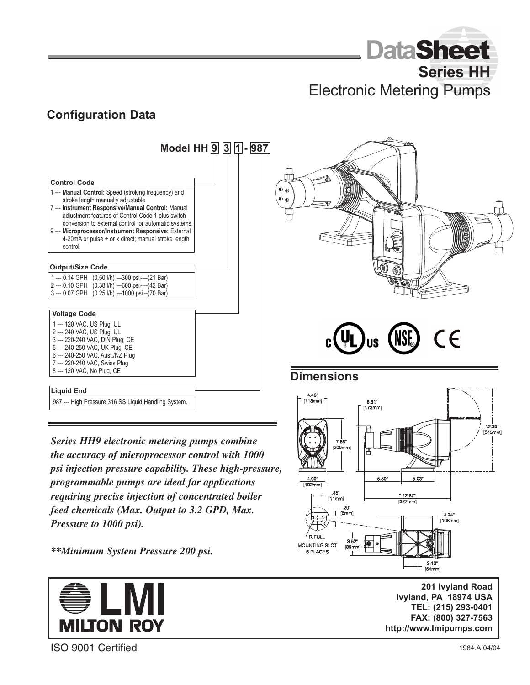**Data**Sheet **Series HH** 

Electronic Metering Pumps

**Dimensions**

7.86

.45"<br>[11mm]

201

 $6.81$ "  $173mm$ 

 $5.50"$ 

5.03

\* 12.87°  $1327$ mm

 $4.46"$ <br>[113mm]

 $4.00"$ 

NTING S 6 PLACES

### **Configuration Data**



*Series HH9 electronic metering pumps combine the accuracy of microprocessor control with 1000 psi injection pressure capability. These high-pressure, programmable pumps are ideal for applications requiring precise injection of concentrated boiler feed chemicals (Max. Output to 3.2 GPD, Max. Pressure to 1000 psi).*

*\*\*Minimum System Pressure 200 psi.*



**201 Ivyland Road 201 Ivyland Road Ivyland, PA 18974 Ivyland, PA 18974 USA TEL: (215) 293-0401 TEL: (215) 293-0401 FAX: (800) 327-7563 FAX: (800) 327-7563 http://www.Imipumps.com**

 $2.12^{\circ}$ <br>[54mm]

4.24

 $\mathsf{C}\mathsf{C}$ 

ISO 9001 Certified

 $12.39$ [315mm]